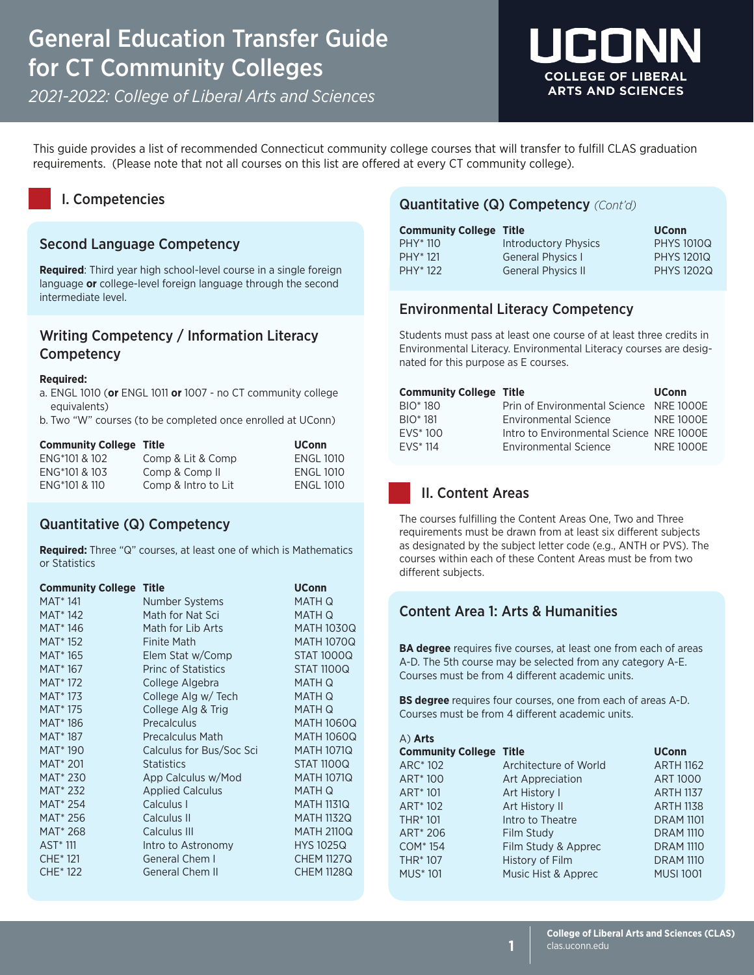# General Education Transfer Guide for CT Community Colleges

*2021-2022: College of Liberal Arts and Sciences*



This guide provides a list of recommended Connecticut community college courses that will transfer to fulfill CLAS graduation requirements. (Please note that not all courses on this list are offered at every CT community college).

## I. Competencies

## Second Language Competency

**Required**: Third year high school-level course in a single foreign language **or** college-level foreign language through the second intermediate level.

## Writing Competency / Information Literacy Competency

### **Required:**

- a. ENGL 1010 (**or** ENGL 1011 **or** 1007 no CT community college equivalents)
- b. Two "W" courses (to be completed once enrolled at UConn)

| <b>Community College Title</b> |                     | <b>UConn</b>     |
|--------------------------------|---------------------|------------------|
| ENG*101 & 102                  | Comp & Lit & Comp   | <b>ENGL 1010</b> |
| ENG*101 & 103                  | Comp & Comp II      | <b>ENGL 1010</b> |
| ENG*101 & 110                  | Comp & Intro to Lit | <b>ENGL 1010</b> |

## Quantitative (Q) Competency

**Required:** Three "Q" courses, at least one of which is Mathematics or Statistics

| <b>Community College Title</b> |                            | <b>UConn</b>      |
|--------------------------------|----------------------------|-------------------|
| <b>MAT</b> * 141               | Number Systems             | MATH Q            |
| MAT* 142                       | Math for Nat Sci           | <b>MATH Q</b>     |
| MAT <sup>*</sup> 146           | Math for Lib Arts          | <b>MATH 1030Q</b> |
| <b>MAT</b> * 152               | <b>Finite Math</b>         | MATH 1070Q        |
| MAT <sup>*</sup> 165           | Elem Stat w/Comp           | <b>STAT 1000Q</b> |
| MAT <sup>*</sup> 167           | <b>Princ of Statistics</b> | <b>STAT 1100Q</b> |
| MAT <sup>*</sup> 172           | College Algebra            | <b>MATH Q</b>     |
| MAT* 173                       | College Alg w/ Tech        | MATH Q            |
| MAT <sup>*</sup> 175           | College Alg & Trig         | <b>MATH Q</b>     |
| MAT <sup>*</sup> 186           | Precalculus                | MATH 1060Q        |
| MAT <sup>*</sup> 187           | <b>Precalculus Math</b>    | <b>MATH 1060Q</b> |
| MAT <sup>*</sup> 190           | Calculus for Bus/Soc Sci   | <b>MATH 1071Q</b> |
| MAT <sup>*</sup> 201           | <b>Statistics</b>          | <b>STAT 1100Q</b> |
| MAT* 230                       | App Calculus w/Mod         | <b>MATH 1071Q</b> |
| MAT <sup>*</sup> 232           | <b>Applied Calculus</b>    | MATH Q            |
| MAT <sup>*</sup> 254           | Calculus I                 | MATH 1131Q        |
| MAT <sup>*</sup> 256           | Calculus II                | <b>MATH 1132Q</b> |
| MAT <sup>*</sup> 268           | Calculus III               | <b>MATH 2110Q</b> |
| AST <sup>*</sup> 111           | Intro to Astronomy         | <b>HYS 1025Q</b>  |
| CHE <sup>*</sup> 121           | General Chem I             | <b>CHEM 1127Q</b> |
| CHE <sup>*</sup> 122           | <b>General Chem II</b>     | <b>CHEM 1128Q</b> |

## Quantitative (Q) Competency *(Cont'd)*

| <b>Community College Title</b> |                           | <b>UConn</b>      |
|--------------------------------|---------------------------|-------------------|
| PHY <sup>*</sup> 110           | Introductory Physics      | <b>PHYS 1010Q</b> |
| PHY <sup>*</sup> 121           | <b>General Physics I</b>  | <b>PHYS 1201Q</b> |
| PHY <sup>*</sup> 122           | <b>General Physics II</b> | <b>PHYS 1202Q</b> |

## Environmental Literacy Competency

Students must pass at least one course of at least three credits in Environmental Literacy. Environmental Literacy courses are designated for this purpose as E courses.

| <b>Community College Title</b> |                                          | <b>UConn</b>     |
|--------------------------------|------------------------------------------|------------------|
| BIO <sup>*</sup> 180           | Prin of Environmental Science NRE 1000E  |                  |
| BIO <sup>*</sup> 181           | <b>Environmental Science</b>             | <b>NRE 1000E</b> |
| <b>FVS</b> * 100               | Intro to Environmental Science NRE 1000E |                  |
| <b>FVS* 114</b>                | <b>Environmental Science</b>             | <b>NRF1000F</b>  |

## II. Content Areas

The courses fulfilling the Content Areas One, Two and Three requirements must be drawn from at least six different subjects as designated by the subject letter code (e.g., ANTH or PVS). The courses within each of these Content Areas must be from two different subjects.

## Content Area 1: Arts & Humanities

**BA degree** requires five courses, at least one from each of areas A-D. The 5th course may be selected from any category A-E. Courses must be from 4 different academic units.

**BS degree** requires four courses, one from each of areas A-D. Courses must be from 4 different academic units.

| $(A)$ Arts                     |                       |                  |
|--------------------------------|-----------------------|------------------|
| <b>Community College Title</b> |                       | <b>UConn</b>     |
| ARC <sup>*</sup> 102           | Architecture of World | <b>ARTH 1162</b> |
| ART <sup>*</sup> 100           | Art Appreciation      | <b>ART 1000</b>  |
| ART <sup>*</sup> 101           | Art History I         | <b>ARTH 1137</b> |
| ART <sup>*</sup> 102           | Art History II        | <b>ARTH 1138</b> |
| <b>THR*101</b>                 | Intro to Theatre      | <b>DRAM 1101</b> |
| ART* 206                       | Film Study            | <b>DRAM 1110</b> |
| COM <sup>*</sup> 154           | Film Study & Apprec   | <b>DRAM 1110</b> |
| <b>THR*107</b>                 | History of Film       | <b>DRAM 1110</b> |
| <b>MUS*101</b>                 | Music Hist & Apprec   | <b>MUSI 1001</b> |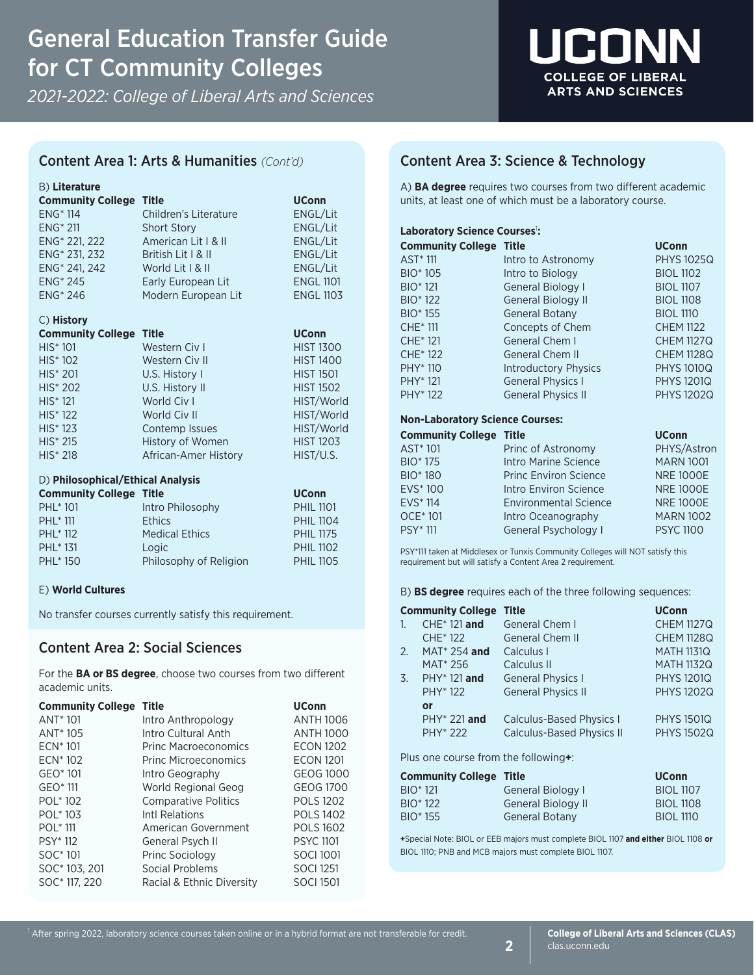# General Education Transfer Guide for CT Community Colleges

*2021-2022: College of Liberal Arts and Sciences*



## Content Area 1: Arts & Humanities *(Cont'd)*

| B) Literature            |                       |                  |
|--------------------------|-----------------------|------------------|
| <b>Community College</b> | <b>Title</b>          | <b>UConn</b>     |
| <b>ENG* 114</b>          | Children's Literature | ENGL/Lit         |
| $ENG^*$ 211              | <b>Short Story</b>    | ENGL/Lit         |
| ENG* 221, 222            | American Lit   & II   | ENGL/Lit         |
| ENG* 231, 232            | British Lit   & II    | ENGL/Lit         |
| ENG* 241, 242            | World Lit   & II      | ENGL/Lit         |
| <b>ENG</b> *245          | Early European Lit    | <b>ENGL 1101</b> |
| <b>ENG* 246</b>          | Modern European Lit   | <b>ENGL 1103</b> |
|                          |                       |                  |
|                          |                       |                  |
| C) History               |                       |                  |
| <b>Community College</b> | <b>Title</b>          | <b>UConn</b>     |
| <b>HIS* 101</b>          | Western Civ I         | <b>HIST 1300</b> |
| $HIS*102$                | Western Civ II        | <b>HIST 1400</b> |
| <b>HIS* 201</b>          | U.S. History I        | <b>HIST 1501</b> |
| $HIS^*$ 202              | U.S. History II       | <b>HIST 1502</b> |
| $HIS*121$                | World Civ I           | HIST/World       |
| $HIS* 122$               | World Civ II          | HIST/World       |
| $HIS* 123$               | Contemp Issues        | HIST/World       |
| $HIS^*$ 215              | History of Women      | <b>HIST 1203</b> |

#### D) **Philosophical/Ethical Analysis**

| <b>Community College Title</b> |                        | <b>UConn</b>     |
|--------------------------------|------------------------|------------------|
| PHL <sup>*</sup> 101           | Intro Philosophy       | <b>PHIL 1101</b> |
| <b>PHL* 111</b>                | <b>Ethics</b>          | <b>PHIL 1104</b> |
| PHI * 112                      | <b>Medical Ethics</b>  | <b>PHIL 1175</b> |
| PHL <sup>*</sup> 131           | Logic                  | <b>PHIL 1102</b> |
| <b>PHL*150</b>                 | Philosophy of Religion | <b>PHIL 1105</b> |

### E) **World Cultures**

No transfer courses currently satisfy this requirement.

## Content Area 2: Social Sciences

For the **BA or BS degree**, choose two courses from two different academic units.

| <b>Community College</b> | <b>Title</b>                | <b>UConn</b>     |
|--------------------------|-----------------------------|------------------|
| ANT <sup>*</sup> 101     | Intro Anthropology          | <b>ANTH 1006</b> |
| ANT <sup>*</sup> 105     | Intro Cultural Anth         | <b>ANTH 1000</b> |
| ECN <sup>*</sup> 101     | Princ Macroeconomics        | <b>ECON 1202</b> |
| ECN <sup>*</sup> 102     | Princ Microeconomics        | <b>ECON 1201</b> |
| GEO* 101                 | Intro Geography             | GEOG 1000        |
| GEO <sup>*</sup> 111     | World Regional Geog         | GEOG 1700        |
| POL <sup>*</sup> 102     | <b>Comparative Politics</b> | <b>POLS 1202</b> |
| POL <sup>*</sup> 103     | Intl Relations              | <b>POLS 1402</b> |
| <b>POL* 111</b>          | American Government         | <b>POLS 1602</b> |
| <b>PSY*112</b>           | General Psych II            | <b>PSYC 1101</b> |
| SOC <sup>*</sup> 101     | Princ Sociology             | <b>SOCI 1001</b> |
| SOC* 103, 201            | Social Problems             | <b>SOCI 1251</b> |
| SOC* 117, 220            | Racial & Ethnic Diversity   | <b>SOCI 1501</b> |

## Content Area 3: Science & Technology

A) **BA degree** requires two courses from two different academic units, at least one of which must be a laboratory course.

#### Laboratory Science Courses<sup>1</sup>:

| <b>Community College Title</b>         |                              | <b>UConn</b>      |
|----------------------------------------|------------------------------|-------------------|
| AST <sup>*</sup> 111                   | Intro to Astronomy           | <b>PHYS 1025Q</b> |
| <b>BIO*105</b>                         | Intro to Biology             | <b>BIOL 1102</b>  |
| <b>BIO*121</b>                         | General Biology I            | <b>BIOL 1107</b>  |
| <b>BIO*122</b>                         | <b>General Biology II</b>    | <b>BIOL 1108</b>  |
| <b>BIO* 155</b>                        | <b>General Botany</b>        | <b>BIOL 1110</b>  |
| <b>CHE* 111</b>                        | Concepts of Chem             | <b>CHEM 1122</b>  |
| CHE <sup>*</sup> 121                   | General Chem I               | <b>CHEM 1127Q</b> |
| CHE <sup>*</sup> 122                   | <b>General Chem II</b>       | <b>CHEM 1128Q</b> |
| <b>PHY</b> * 110                       | <b>Introductory Physics</b>  | <b>PHYS 1010Q</b> |
| PHY <sup>*</sup> 121                   | <b>General Physics I</b>     | <b>PHYS 1201Q</b> |
| PHY <sup>*</sup> 122                   | <b>General Physics II</b>    | <b>PHYS 1202Q</b> |
| <b>Non-Laboratory Science Courses:</b> |                              |                   |
| <b>Community College Title</b>         |                              | <b>UConn</b>      |
| AST* 101                               | Princ of Astronomy           | PHYS/Astron       |
| BIO <sup>*</sup> 175                   | Intro Marine Science         | <b>MARN 1001</b>  |
| <b>BIO*180</b>                         | <b>Princ Environ Science</b> | <b>NRE 1000E</b>  |
| EVS* 100                               | Intro Environ Science        | <b>NRE 1000E</b>  |
| EVS <sup>*</sup> 114                   | <b>Environmental Science</b> | <b>NRE 1000E</b>  |
| <b>OCE*101</b>                         | Intro Oceanography           | <b>MARN 1002</b>  |
| <b>PSY* 111</b>                        | <b>General Psychology I</b>  | <b>PSYC 1100</b>  |

PSY\*111 taken at Middlesex or Tunxis Community Colleges will NOT satisfy this requirement but will satisfy a Content Area 2 requirement.

B) **BS degree** requires each of the three following sequences:

|    | <b>Community College</b> | <b>Title</b>                     | <b>UConn</b>      |
|----|--------------------------|----------------------------------|-------------------|
| 1  | $CHE*121$ and            | General Chem I                   | <b>CHEM 1127Q</b> |
|    | CHE <sup>*</sup> 122     | General Chem II                  | <b>CHEM 1128Q</b> |
| 2. | $MAT* 254$ and           | Calculus I                       | <b>MATH 1131Q</b> |
|    | MAT <sup>*</sup> 256     | Calculus II                      | <b>MATH 1132Q</b> |
| 3. | $PHY*121$ and            | <b>General Physics I</b>         | <b>PHYS 1201Q</b> |
|    | PHY <sup>*</sup> 122     | <b>General Physics II</b>        | <b>PHYS 1202Q</b> |
|    | or                       |                                  |                   |
|    | $PHY* 221$ and           | <b>Calculus-Based Physics I</b>  | <b>PHYS 1501Q</b> |
|    | PHY <sup>*</sup> 222     | <b>Calculus-Based Physics II</b> | <b>PHYS 1502Q</b> |

Plus one course from the following**+**:

|                           | <b>UConn</b>                   |
|---------------------------|--------------------------------|
| General Biology I         | <b>BIOL 1107</b>               |
| <b>General Biology II</b> | <b>BIOL 1108</b>               |
| <b>General Botany</b>     | <b>BIOL 1110</b>               |
|                           | <b>Community College Title</b> |

**+**Special Note: BIOL or EEB majors must complete BIOL 1107 **and either** BIOL 1108 **or**  BIOL 1110; PNB and MCB majors must complete BIOL 1107.